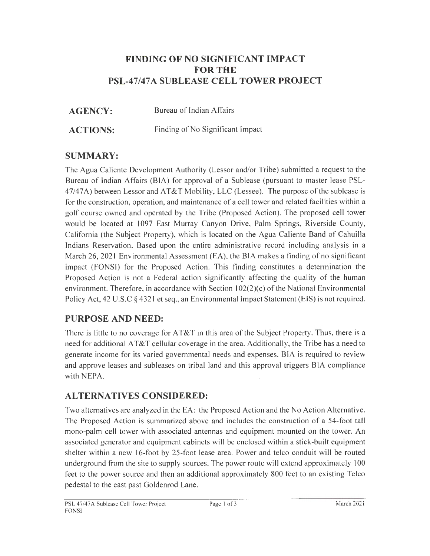### **FINDING OF NO SIGNIFICANT IMPACT FOR THE PSL-47 /47 A SUBLEASE CELL TOWER PROJECT**

**AGENCY:** Bureau of Indian Affairs

**ACTIONS:** Finding of No Significant Impact

### **SUMMARY:**

The Agua Caliente Development Authority (Lessor and/or Tribe) submitted a request to the Bureau of Indian Affairs (BIA) for approval of a Sublease (pursuant to master lease PSL-47/47A) between Lessor and AT&T Mobility, LLC (Lessee). The purpose of the sublease is for the construction, operation, and maintenance of a cell tower and related facilities within a golf course owned and operated by the Tribe (Proposed Action). The proposed cell tower would be located at 1097 East Murray Canyon Drive, Palm Springs, Riverside County, California (the Subject Property), which is located on the Agua Caliente Band of Cahuilla Indians Reservation. Based upon the entire administrative record including analysis in a March 26, 2021 Environmental Assessment  $(EA)$ , the BIA makes a finding of no significant impact (FONS!) for the Proposed Action. This finding constitutes a determination the Proposed Action is not a Federal action significantly affecting the quality of the human environment. Therefore, in accordance with Section 102(2)(c) of the National Environmental Policy Act, 42 U.S.C § 4321 et seq., an Environmental Impact Statement (EIS) is not required.

# **PURPOSE AND NEED:**

There is little to no coverage for AT&T in this area of the Subject Property. Thus, there is a need for additional AT&T cellular coverage in the area. Additionally, the Tribe has a need to generate income for its varied governmental needs and expenses. BIA is required to review and approve leases and subleases on tribal land and this approval triggers BIA compliance with NEPA.

# **ALTERNATIVES CONSIDERED:**

Two alternatives are analyzed in the EA: the Proposed Action and the No Action Alternative. The Proposed Action is summarized above and includes the construction of a 54-foot tall mono-palm cell tower with associated antennas and equipment mounted on the tower. An associated generator and equipment cabinets will be enclosed within a stick-built equipment shelter within a new 16-foot by 25-foot lease area. Power and telco conduit will be routed underground from the site to supply sources. The power route will extend approximately 100 feet to the power source and then an additional approximately 800 feet to an existing Telco pedestal to the east past Goldenrod Lane.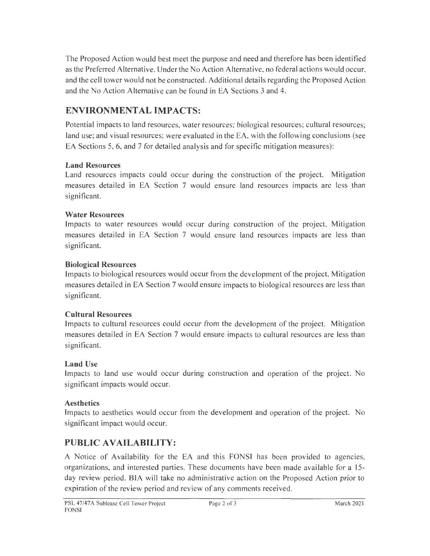The Proposed Action would best meet the purpose and need and therefore has been identified as the Preferred Alternative. Under the No Action Alternative, no federal actions would occur, and the cell tower would not be constructed. Additional details regarding the Proposed Action and the No Action Alternative can be found in EA Sections 3 and 4.

### **ENVIRONMENT AL IMPACTS:**

Potential impacts to land resources, water resources; biological resources; cultural resources; land use; and visual resources; were evaluated in the EA, with the following conclusions (see EA Sections 5, 6, and 7 for detailed analysis and for specific mitigation measures):

#### **Land Resources**

Land resources impacts could occur during the construction of the project. Mitigation measures detailed in EA Section 7 would ensure land resources impacts are less than significant.

#### **Water Resources**

Impacts to water resources would occur during construction of the project. Mitigation measures detailed in EA Section 7 would ensure land resources impacts are less than significant.

#### **Biological Resources**

Impacts to biological resources would occur from the development of the project. Mitigation measures detailed in EA Section 7 would ensure impacts to biological resources are less than significant.

#### **Cultural Resources**

Impacts to cultural resources could occur from the development of the project. Mitigation measures detailed in EA Section 7 would ensure impacts to cultural resources are less than significant.

#### **Land Use**

Impacts to land use would occur during construction and operation of the project. No significant impacts would occur.

#### **Aesthetics**

Impacts to aesthetics would occur from the development and operation of the project. No significant impact would occur.

## **PUBLIC AVAILABILITY:**

A Notice of Availability for the EA and this FONS! has been provided to agencies, organizations, and interested parties. These documents have been made available for a 15 day review period. BIA will take no administrative action on the Proposed Action prior to expiration of the review period and review of any comments received.